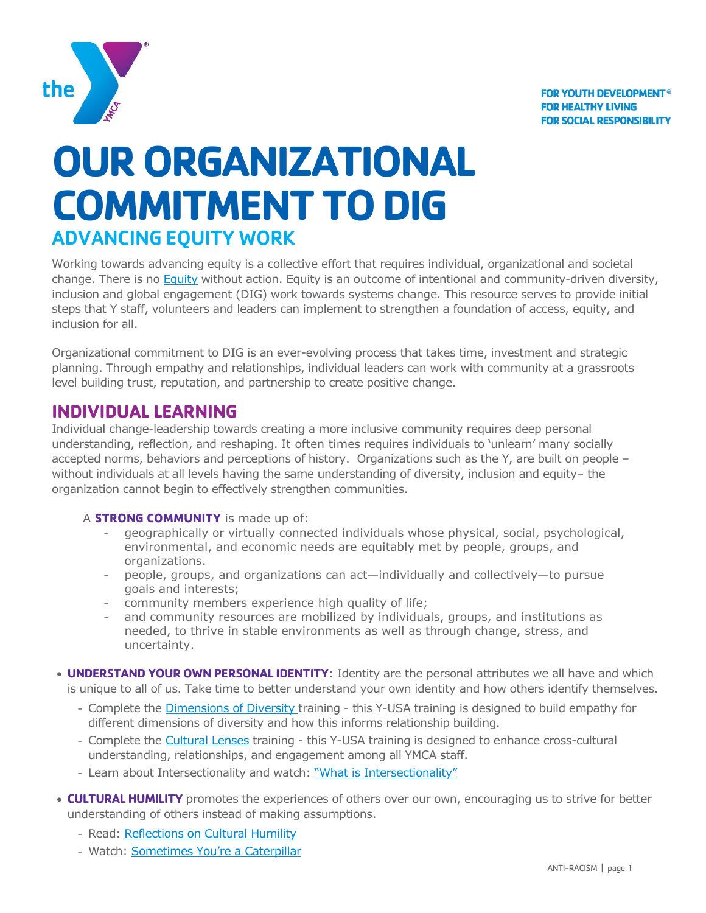

# **OUR ORGANIZATIONAL COMMITMENT TO DIG** ADVANCING EQUITY WORK

Working towards advancing equity is a collective effort that requires individual, organizational and societal change. There is no [Equity](https://link.ymca.net/mlink/file/MTEzODA) without action. Equity is an outcome of intentional and community-driven diversity, inclusion and global engagement (DIG) work towards systems change. This resource serves to provide initial steps that Y staff, volunteers and leaders can implement to strengthen a foundation of access, equity, and inclusion for all.

Organizational commitment to DIG is an ever-evolving process that takes time, investment and strategic planning. Through empathy and relationships, individual leaders can work with community at a grassroots level building trust, reputation, and partnership to create positive change.

# **INDIVIDUAL LEARNING**

Individual change-leadership towards creating a more inclusive community requires deep personal understanding, reflection, and reshaping. It often times requires individuals to 'unlearn' many socially accepted norms, behaviors and perceptions of history. Organizations such as the Y, are built on people – without individuals at all levels having the same understanding of diversity, inclusion and equity– the organization cannot begin to effectively strengthen communities.

# A **STRONG COMMUNITY** is made up of:

- geographically or virtually connected individuals whose physical, social, psychological, environmental, and economic needs are equitably met by people, groups, and organizations.
- people, groups, and organizations can act—individually and collectively—to pursue goals and interests;
- community members experience high quality of life;
- and community resources are mobilized by individuals, groups, and institutions as needed, to thrive in stable environments as well as through change, stress, and uncertainty.
- **UNDERSTAND YOUR OWN PERSONAL IDENTITY**: Identity are the personal attributes we all have and which is unique to all of us. Take time to better understand your own identity and how others identify themselves.
	- Complete the [Dimensions of Diversity](https://lcdc.yexchange.org/Catalog/Course/Detail/1141) training this Y-USA training is designed to build empathy for different dimensions of diversity and how this informs relationship building.
	- Complete the [Cultural Lenses](https://lcdc.yexchange.org/Catalog/Course/Detail/1094) training this Y-USA training is designed to enhance cross-cultural understanding, relationships, and engagement among all YMCA staff.
	- Learn about Intersectionality and watch: ["What is Intersectionality"](https://youtu.be/EXJ4Dbdm1ks)
- **CULTURAL HUMILITY** promotes the experiences of others over our own, encouraging us to strive for better understanding of others instead of making assumptions.
	- Read: [Reflections on Cultural Humility](https://www.apa.org/pi/families/resources/newsletter/2013/08/cultural-humility.aspx)
	- Watch: [Sometimes You're a Caterpillar](https://youtu.be/hRiWgx4sHGg)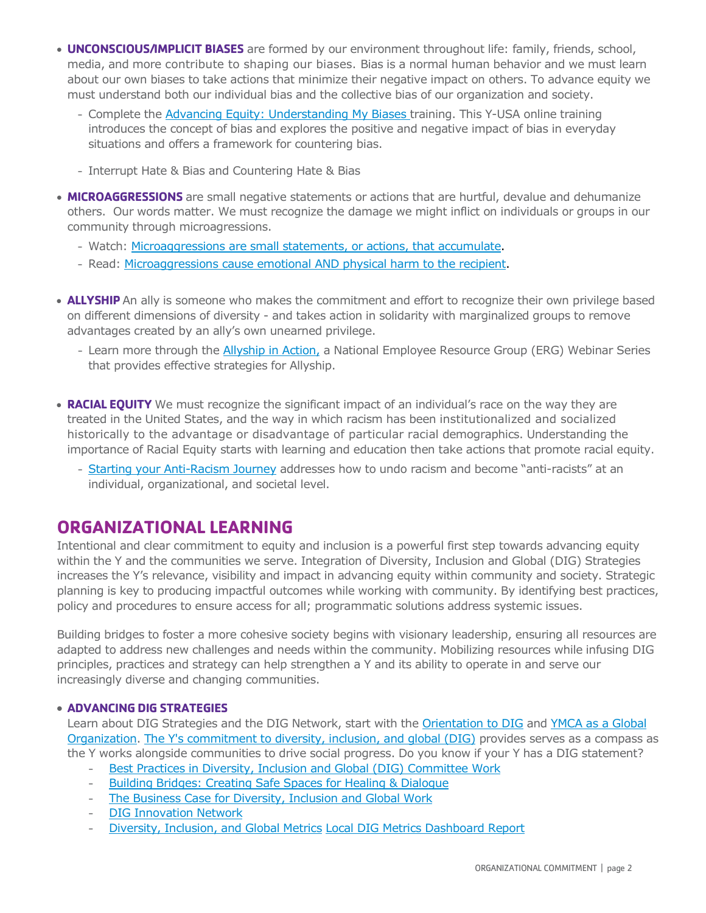- **UNCONSCIOUS/IMPLICIT BIASES** are formed by our environment throughout life: family, friends, school, media, and more contribute to shaping our biases. Bias is a normal human behavior and we must learn about our own biases to take actions that minimize their negative impact on others. To advance equity we must understand both our individual bias and the collective bias of our organization and society.
	- Complete the [Advancing Equity: Understanding My Biases](https://lcdc.yexchange.org/s/c54p87v) training. This Y-USA online training introduces the concept of bias and explores the positive and negative impact of bias in everyday situations and offers a framework for countering bias.
	- Interrupt Hate & Bias and Countering Hate & Bias
- **MICROAGGRESSIONS** are small negative statements or actions that are hurtful, devalue and dehumanize others. Our words matter. We must recognize the damage we might inflict on individuals or groups in our community through microagressions.
	- Watch: [Microaggressions are small statements, or actions, that accumulate.](https://www.youtube.com/watch?v=hDd3bzA7450)
	- Read: [Microaggressions cause emotional AND physical harm to the recipient.](https://www.usatoday.com/story/news/2018/02/28/what-microaggressions-small-slights-serious-consequences/362754002/)
- **ALLYSHIP** An ally is someone who makes the commitment and effort to recognize their own privilege based on different dimensions of diversity - and takes action in solidarity with marginalized groups to remove advantages created by an ally's own unearned privilege.
	- Learn more through the [Allyship in Action,](https://link.ymca.net/mlink/post/Mjk1MA) a National Employee Resource Group (ERG) Webinar Series that provides effective strategies for Allyship.
- **RACIAL EQUITY** We must recognize the significant impact of an individual's race on the way they are treated in the United States, and the way in which racism has been institutionalized and socialized historically to the advantage or disadvantage of particular racial demographics. Understanding the importance of Racial Equity starts with learning and education then take actions that promote racial equity.
	- [Starting your Anti-Racism Journey](https://link.ymca.net/mlink/post/NzQ0OA) addresses how to undo racism and become "anti-racists" at an individual, organizational, and societal level.

# **ORGANIZATIONAL LEARNING**

Intentional and clear commitment to equity and inclusion is a powerful first step towards advancing equity within the Y and the communities we serve. Integration of Diversity, Inclusion and Global (DIG) Strategies increases the Y's relevance, visibility and impact in advancing equity within community and society. Strategic planning is key to producing impactful outcomes while working with community. By identifying best practices, policy and procedures to ensure access for all; programmatic solutions address systemic issues.

Building bridges to foster a more cohesive society begins with visionary leadership, ensuring all resources are adapted to address new challenges and needs within the community. Mobilizing resources while infusing DIG principles, practices and strategy can help strengthen a Y and its ability to operate in and serve our increasingly diverse and changing communities.

## **ADVANCING DIG STRATEGIES**

Learn about DIG Strategies and the DIG Network, start with the [Orientation](https://lcdc.yexchange.org/Catalog/Class/Detail/251629) to DIG and YMCA as a Global [Organization.](https://lcdc.yexchange.org/Catalog/Class/Detail/247132) The Y's commitment [to diversity, inclusion, and global \(DIG\)](https://www.ymca.net/diversity-inclusion) provides serves as a compass as the Y works alongside communities to drive social progress. Do you know if your Y has a DIG statement?

- [Best Practices in Diversity, Inclusion and Global \(DIG\) Committee Work](https://link.ymca.net/mlink/file/NjI0MQ)
- [Building Bridges: Creating Safe Spaces for Healing & Dialogue](https://link.ymca.net/ce/pulse/user/teams/group/uploaded_files/NDEx?project_id=192&folder=126473)
- [The Business Case for Diversity, Inclusion and Global Work](https://link.ymca.net/mlink/file/MTI5MDQ)
- [DIG Innovation Network](https://link.ymca.net/mlink/file/MTE1OTI5)
- [Diversity, Inclusion, and Global Metrics](https://link.ymca.net/mlink/site_page/NDEx) [Local DIG Metrics Dashboard Report](https://insights.ymca.net/Reports_bi/browse/)